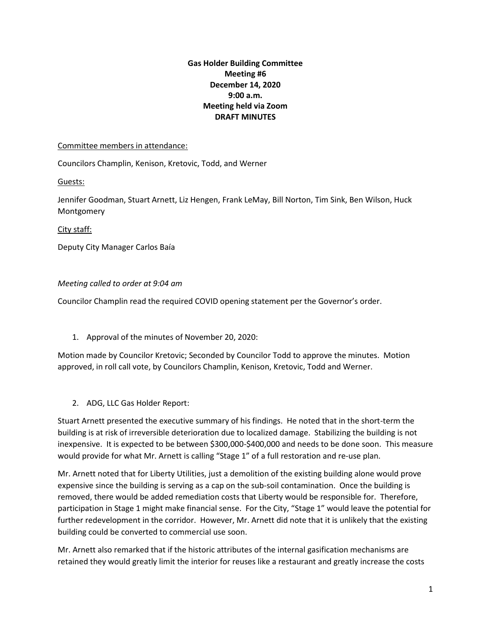## **Gas Holder Building Committee Meeting #6 December 14, 2020 9:00 a.m. Meeting held via Zoom DRAFT MINUTES**

## Committee members in attendance:

Councilors Champlin, Kenison, Kretovic, Todd, and Werner

Guests:

Jennifer Goodman, Stuart Arnett, Liz Hengen, Frank LeMay, Bill Norton, Tim Sink, Ben Wilson, Huck Montgomery

City staff:

Deputy City Manager Carlos Baía

## *Meeting called to order at 9:04 am*

Councilor Champlin read the required COVID opening statement per the Governor's order.

1. Approval of the minutes of November 20, 2020:

Motion made by Councilor Kretovic; Seconded by Councilor Todd to approve the minutes. Motion approved, in roll call vote, by Councilors Champlin, Kenison, Kretovic, Todd and Werner.

2. ADG, LLC Gas Holder Report:

Stuart Arnett presented the executive summary of his findings. He noted that in the short-term the building is at risk of irreversible deterioration due to localized damage. Stabilizing the building is not inexpensive. It is expected to be between \$300,000-\$400,000 and needs to be done soon. This measure would provide for what Mr. Arnett is calling "Stage 1" of a full restoration and re-use plan.

Mr. Arnett noted that for Liberty Utilities, just a demolition of the existing building alone would prove expensive since the building is serving as a cap on the sub-soil contamination. Once the building is removed, there would be added remediation costs that Liberty would be responsible for. Therefore, participation in Stage 1 might make financial sense. For the City, "Stage 1" would leave the potential for further redevelopment in the corridor. However, Mr. Arnett did note that it is unlikely that the existing building could be converted to commercial use soon.

Mr. Arnett also remarked that if the historic attributes of the internal gasification mechanisms are retained they would greatly limit the interior for reuses like a restaurant and greatly increase the costs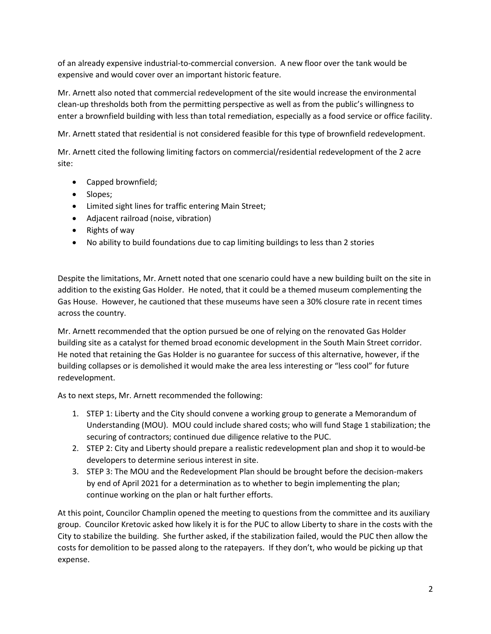of an already expensive industrial-to-commercial conversion. A new floor over the tank would be expensive and would cover over an important historic feature.

Mr. Arnett also noted that commercial redevelopment of the site would increase the environmental clean-up thresholds both from the permitting perspective as well as from the public's willingness to enter a brownfield building with less than total remediation, especially as a food service or office facility.

Mr. Arnett stated that residential is not considered feasible for this type of brownfield redevelopment.

Mr. Arnett cited the following limiting factors on commercial/residential redevelopment of the 2 acre site:

- Capped brownfield;
- Slopes;
- Limited sight lines for traffic entering Main Street;
- Adjacent railroad (noise, vibration)
- Rights of way
- No ability to build foundations due to cap limiting buildings to less than 2 stories

Despite the limitations, Mr. Arnett noted that one scenario could have a new building built on the site in addition to the existing Gas Holder. He noted, that it could be a themed museum complementing the Gas House. However, he cautioned that these museums have seen a 30% closure rate in recent times across the country.

Mr. Arnett recommended that the option pursued be one of relying on the renovated Gas Holder building site as a catalyst for themed broad economic development in the South Main Street corridor. He noted that retaining the Gas Holder is no guarantee for success of this alternative, however, if the building collapses or is demolished it would make the area less interesting or "less cool" for future redevelopment.

As to next steps, Mr. Arnett recommended the following:

- 1. STEP 1: Liberty and the City should convene a working group to generate a Memorandum of Understanding (MOU). MOU could include shared costs; who will fund Stage 1 stabilization; the securing of contractors; continued due diligence relative to the PUC.
- 2. STEP 2: City and Liberty should prepare a realistic redevelopment plan and shop it to would-be developers to determine serious interest in site.
- 3. STEP 3: The MOU and the Redevelopment Plan should be brought before the decision-makers by end of April 2021 for a determination as to whether to begin implementing the plan; continue working on the plan or halt further efforts.

At this point, Councilor Champlin opened the meeting to questions from the committee and its auxiliary group. Councilor Kretovic asked how likely it is for the PUC to allow Liberty to share in the costs with the City to stabilize the building. She further asked, if the stabilization failed, would the PUC then allow the costs for demolition to be passed along to the ratepayers. If they don't, who would be picking up that expense.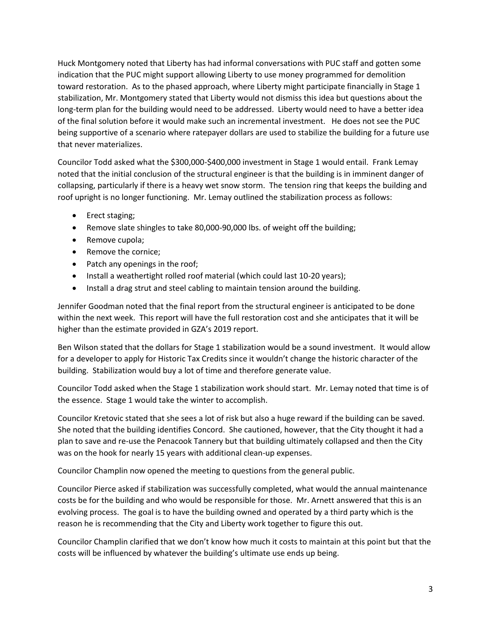Huck Montgomery noted that Liberty has had informal conversations with PUC staff and gotten some indication that the PUC might support allowing Liberty to use money programmed for demolition toward restoration. As to the phased approach, where Liberty might participate financially in Stage 1 stabilization, Mr. Montgomery stated that Liberty would not dismiss this idea but questions about the long-term plan for the building would need to be addressed. Liberty would need to have a better idea of the final solution before it would make such an incremental investment. He does not see the PUC being supportive of a scenario where ratepayer dollars are used to stabilize the building for a future use that never materializes.

Councilor Todd asked what the \$300,000-\$400,000 investment in Stage 1 would entail. Frank Lemay noted that the initial conclusion of the structural engineer is that the building is in imminent danger of collapsing, particularly if there is a heavy wet snow storm. The tension ring that keeps the building and roof upright is no longer functioning. Mr. Lemay outlined the stabilization process as follows:

- Erect staging;
- Remove slate shingles to take 80,000-90,000 lbs. of weight off the building;
- Remove cupola;
- Remove the cornice;
- Patch any openings in the roof;
- Install a weathertight rolled roof material (which could last 10-20 years);
- Install a drag strut and steel cabling to maintain tension around the building.

Jennifer Goodman noted that the final report from the structural engineer is anticipated to be done within the next week. This report will have the full restoration cost and she anticipates that it will be higher than the estimate provided in GZA's 2019 report.

Ben Wilson stated that the dollars for Stage 1 stabilization would be a sound investment. It would allow for a developer to apply for Historic Tax Credits since it wouldn't change the historic character of the building. Stabilization would buy a lot of time and therefore generate value.

Councilor Todd asked when the Stage 1 stabilization work should start. Mr. Lemay noted that time is of the essence. Stage 1 would take the winter to accomplish.

Councilor Kretovic stated that she sees a lot of risk but also a huge reward if the building can be saved. She noted that the building identifies Concord. She cautioned, however, that the City thought it had a plan to save and re-use the Penacook Tannery but that building ultimately collapsed and then the City was on the hook for nearly 15 years with additional clean-up expenses.

Councilor Champlin now opened the meeting to questions from the general public.

Councilor Pierce asked if stabilization was successfully completed, what would the annual maintenance costs be for the building and who would be responsible for those. Mr. Arnett answered that this is an evolving process. The goal is to have the building owned and operated by a third party which is the reason he is recommending that the City and Liberty work together to figure this out.

Councilor Champlin clarified that we don't know how much it costs to maintain at this point but that the costs will be influenced by whatever the building's ultimate use ends up being.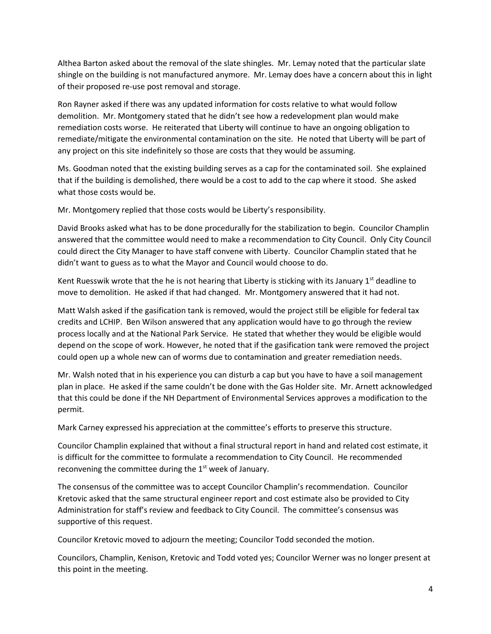Althea Barton asked about the removal of the slate shingles. Mr. Lemay noted that the particular slate shingle on the building is not manufactured anymore. Mr. Lemay does have a concern about this in light of their proposed re-use post removal and storage.

Ron Rayner asked if there was any updated information for costs relative to what would follow demolition. Mr. Montgomery stated that he didn't see how a redevelopment plan would make remediation costs worse. He reiterated that Liberty will continue to have an ongoing obligation to remediate/mitigate the environmental contamination on the site. He noted that Liberty will be part of any project on this site indefinitely so those are costs that they would be assuming.

Ms. Goodman noted that the existing building serves as a cap for the contaminated soil. She explained that if the building is demolished, there would be a cost to add to the cap where it stood. She asked what those costs would be.

Mr. Montgomery replied that those costs would be Liberty's responsibility.

David Brooks asked what has to be done procedurally for the stabilization to begin. Councilor Champlin answered that the committee would need to make a recommendation to City Council. Only City Council could direct the City Manager to have staff convene with Liberty. Councilor Champlin stated that he didn't want to guess as to what the Mayor and Council would choose to do.

Kent Ruesswik wrote that the he is not hearing that Liberty is sticking with its January  $1<sup>st</sup>$  deadline to move to demolition. He asked if that had changed. Mr. Montgomery answered that it had not.

Matt Walsh asked if the gasification tank is removed, would the project still be eligible for federal tax credits and LCHIP. Ben Wilson answered that any application would have to go through the review process locally and at the National Park Service. He stated that whether they would be eligible would depend on the scope of work. However, he noted that if the gasification tank were removed the project could open up a whole new can of worms due to contamination and greater remediation needs.

Mr. Walsh noted that in his experience you can disturb a cap but you have to have a soil management plan in place. He asked if the same couldn't be done with the Gas Holder site. Mr. Arnett acknowledged that this could be done if the NH Department of Environmental Services approves a modification to the permit.

Mark Carney expressed his appreciation at the committee's efforts to preserve this structure.

Councilor Champlin explained that without a final structural report in hand and related cost estimate, it is difficult for the committee to formulate a recommendation to City Council. He recommended reconvening the committee during the 1<sup>st</sup> week of January.

The consensus of the committee was to accept Councilor Champlin's recommendation. Councilor Kretovic asked that the same structural engineer report and cost estimate also be provided to City Administration for staff's review and feedback to City Council. The committee's consensus was supportive of this request.

Councilor Kretovic moved to adjourn the meeting; Councilor Todd seconded the motion.

Councilors, Champlin, Kenison, Kretovic and Todd voted yes; Councilor Werner was no longer present at this point in the meeting.